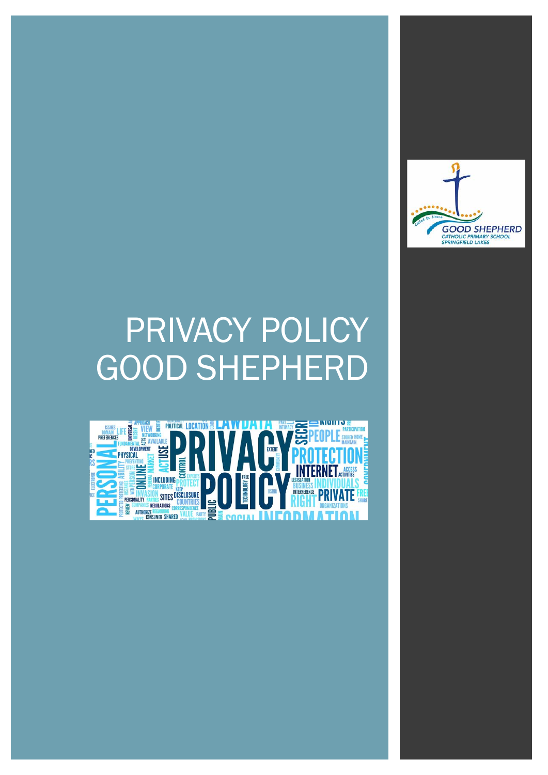# PRIVACY POLICY GOOD SHEPHERD



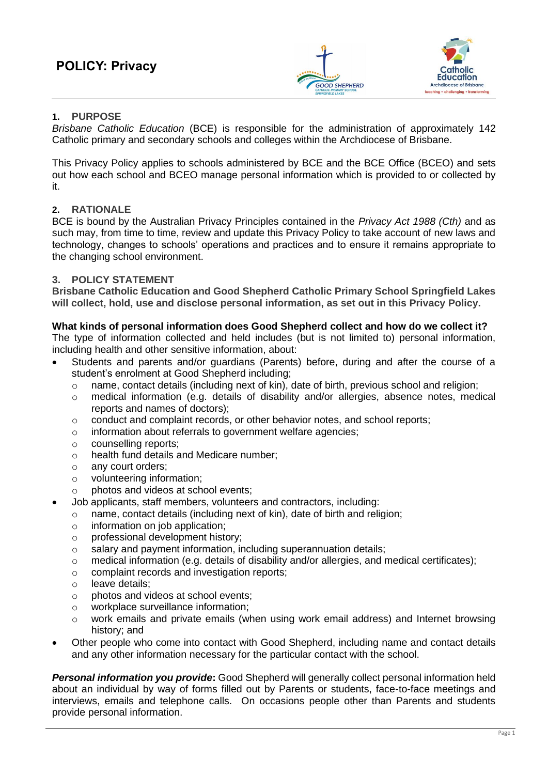

# **1. PURPOSE**

*Brisbane Catholic Education* (BCE) is responsible for the administration of approximately 142 Catholic primary and secondary schools and colleges within the Archdiocese of Brisbane.

This Privacy Policy applies to schools administered by BCE and the BCE Office (BCEO) and sets out how each school and BCEO manage personal information which is provided to or collected by it.

# **2. RATIONALE**

BCE is bound by the Australian Privacy Principles contained in the *Privacy Act 1988 (Cth)* and as such may, from time to time, review and update this Privacy Policy to take account of new laws and technology, changes to schools' operations and practices and to ensure it remains appropriate to the changing school environment.

# **3. POLICY STATEMENT**

**Brisbane Catholic Education and Good Shepherd Catholic Primary School Springfield Lakes will collect, hold, use and disclose personal information, as set out in this Privacy Policy.**

## **What kinds of personal information does Good Shepherd collect and how do we collect it?**

The type of information collected and held includes (but is not limited to) personal information, including health and other sensitive information, about:

- Students and parents and/or guardians (Parents) before, during and after the course of a student's enrolment at Good Shepherd including;
	- $\circ$  name, contact details (including next of kin), date of birth, previous school and religion;
	- o medical information (e.g. details of disability and/or allergies, absence notes, medical reports and names of doctors);
	- o conduct and complaint records, or other behavior notes, and school reports;
	- o information about referrals to government welfare agencies;
	- o counselling reports;
	- o health fund details and Medicare number;
	- o any court orders;
	- o volunteering information;
	- o photos and videos at school events;
- Job applicants, staff members, volunteers and contractors, including:
	- o name, contact details (including next of kin), date of birth and religion;
	- o information on job application;
	- o professional development history;
	- o salary and payment information, including superannuation details;
	- $\circ$  medical information (e.g. details of disability and/or allergies, and medical certificates);
	- o complaint records and investigation reports;
	- o leave details;
	- o photos and videos at school events;
	- o workplace surveillance information;
	- o work emails and private emails (when using work email address) and Internet browsing history; and
- Other people who come into contact with Good Shepherd, including name and contact details and any other information necessary for the particular contact with the school.

*Personal information you provide***:** Good Shepherd will generally collect personal information held about an individual by way of forms filled out by Parents or students, face-to-face meetings and interviews, emails and telephone calls. On occasions people other than Parents and students provide personal information.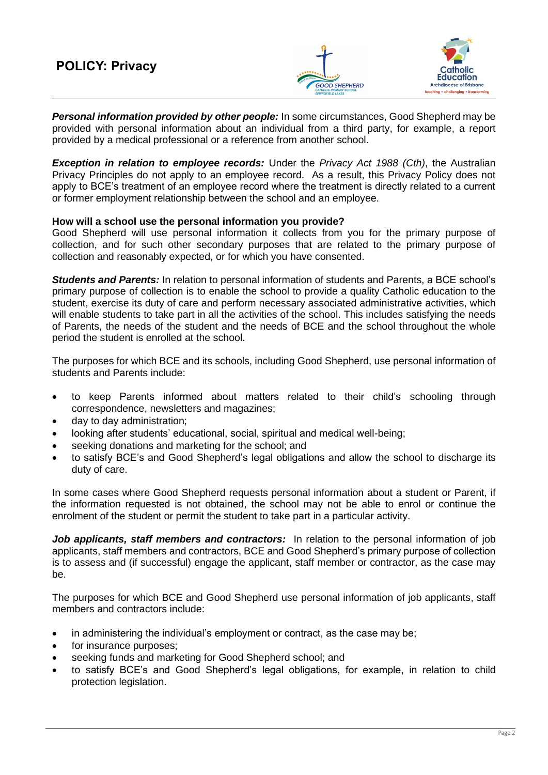

*Personal information provided by other people:* In some circumstances, Good Shepherd may be provided with personal information about an individual from a third party, for example, a report provided by a medical professional or a reference from another school.

*Exception in relation to employee records:* Under the *Privacy Act 1988 (Cth)*, the Australian Privacy Principles do not apply to an employee record. As a result, this Privacy Policy does not apply to BCE's treatment of an employee record where the treatment is directly related to a current or former employment relationship between the school and an employee.

## **How will a school use the personal information you provide?**

Good Shepherd will use personal information it collects from you for the primary purpose of collection, and for such other secondary purposes that are related to the primary purpose of collection and reasonably expected, or for which you have consented.

*Students and Parents:* In relation to personal information of students and Parents, a BCE school's primary purpose of collection is to enable the school to provide a quality Catholic education to the student, exercise its duty of care and perform necessary associated administrative activities, which will enable students to take part in all the activities of the school. This includes satisfying the needs of Parents, the needs of the student and the needs of BCE and the school throughout the whole period the student is enrolled at the school.

The purposes for which BCE and its schools, including Good Shepherd, use personal information of students and Parents include:

- to keep Parents informed about matters related to their child's schooling through correspondence, newsletters and magazines;
- day to day administration;
- looking after students' educational, social, spiritual and medical well-being;
- seeking donations and marketing for the school; and
- to satisfy BCE's and Good Shepherd's legal obligations and allow the school to discharge its duty of care.

In some cases where Good Shepherd requests personal information about a student or Parent, if the information requested is not obtained, the school may not be able to enrol or continue the enrolment of the student or permit the student to take part in a particular activity.

*Job applicants, staff members and contractors:* In relation to the personal information of job applicants, staff members and contractors, BCE and Good Shepherd's primary purpose of collection is to assess and (if successful) engage the applicant, staff member or contractor, as the case may be.

The purposes for which BCE and Good Shepherd use personal information of job applicants, staff members and contractors include:

- in administering the individual's employment or contract, as the case may be;
- for insurance purposes;
- seeking funds and marketing for Good Shepherd school; and
- to satisfy BCE's and Good Shepherd's legal obligations, for example, in relation to child protection legislation.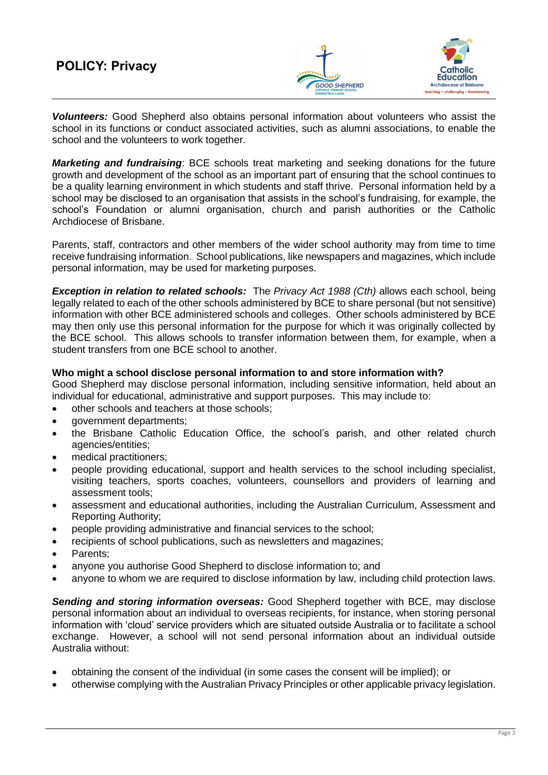# **POLICY: Privacy**



*Volunteers:* Good Shepherd also obtains personal information about volunteers who assist the school in its functions or conduct associated activities, such as alumni associations, to enable the school and the volunteers to work together.

*Marketing and fundraising*: BCE schools treat marketing and seeking donations for the future growth and development of the school as an important part of ensuring that the school continues to be a quality learning environment in which students and staff thrive. Personal information held by a school may be disclosed to an organisation that assists in the school's fundraising, for example, the school's Foundation or alumni organisation, church and parish authorities or the Catholic Archdiocese of Brisbane.

Parents, staff, contractors and other members of the wider school authority may from time to time receive fundraising information. School publications, like newspapers and magazines, which include personal information, may be used for marketing purposes.

*Exception in relation to related schools:* The *Privacy Act 1988 (Cth)* allows each school, being legally related to each of the other schools administered by BCE to share personal (but not sensitive) information with other BCE administered schools and colleges. Other schools administered by BCE may then only use this personal information for the purpose for which it was originally collected by the BCE school. This allows schools to transfer information between them, for example, when a student transfers from one BCE school to another.

## **Who might a school disclose personal information to and store information with?**

Good Shepherd may disclose personal information, including sensitive information, held about an individual for educational, administrative and support purposes. This may include to:

- other schools and teachers at those schools;
- aovernment departments:
- the Brisbane Catholic Education Office, the school's parish, and other related church agencies/entities;
- medical practitioners;
- people providing educational, support and health services to the school including specialist, visiting teachers, sports coaches, volunteers, counsellors and providers of learning and assessment tools;
- assessment and educational authorities, including the Australian Curriculum, Assessment and Reporting Authority;
- people providing administrative and financial services to the school;
- recipients of school publications, such as newsletters and magazines;
- Parents;
- anyone you authorise Good Shepherd to disclose information to; and
- anyone to whom we are required to disclose information by law, including child protection laws.

*Sending and storing information overseas:* Good Shepherd together with BCE, may disclose personal information about an individual to overseas recipients, for instance, when storing personal information with 'cloud' service providers which are situated outside Australia or to facilitate a school exchange. However, a school will not send personal information about an individual outside Australia without:

- obtaining the consent of the individual (in some cases the consent will be implied); or
- otherwise complying with the Australian Privacy Principles or other applicable privacy legislation.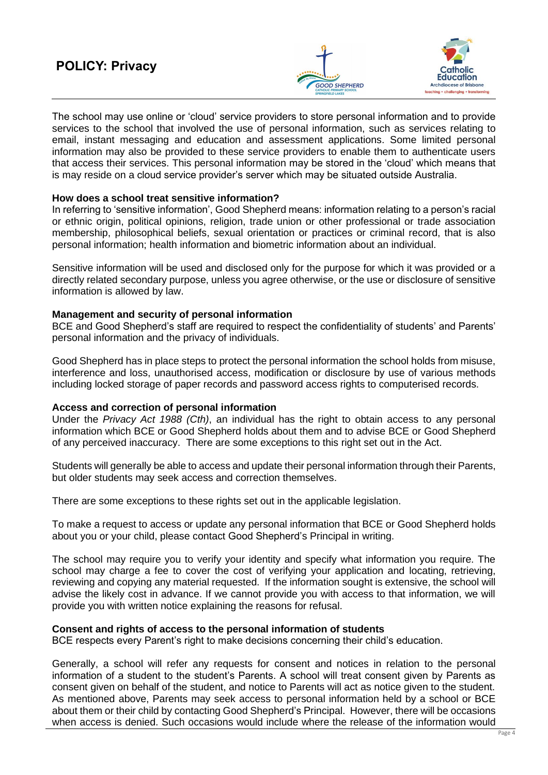# **POLICY: Privacy**



The school may use online or 'cloud' service providers to store personal information and to provide services to the school that involved the use of personal information, such as services relating to email, instant messaging and education and assessment applications. Some limited personal information may also be provided to these service providers to enable them to authenticate users that access their services. This personal information may be stored in the 'cloud' which means that is may reside on a cloud service provider's server which may be situated outside Australia.

### **How does a school treat sensitive information?**

In referring to 'sensitive information', Good Shepherd means: information relating to a person's racial or ethnic origin, political opinions, religion, trade union or other professional or trade association membership, philosophical beliefs, sexual orientation or practices or criminal record, that is also personal information; health information and biometric information about an individual.

Sensitive information will be used and disclosed only for the purpose for which it was provided or a directly related secondary purpose, unless you agree otherwise, or the use or disclosure of sensitive information is allowed by law.

### **Management and security of personal information**

BCE and Good Shepherd's staff are required to respect the confidentiality of students' and Parents' personal information and the privacy of individuals.

Good Shepherd has in place steps to protect the personal information the school holds from misuse, interference and loss, unauthorised access, modification or disclosure by use of various methods including locked storage of paper records and password access rights to computerised records.

#### **Access and correction of personal information**

Under the *Privacy Act 1988 (Cth)*, an individual has the right to obtain access to any personal information which BCE or Good Shepherd holds about them and to advise BCE or Good Shepherd of any perceived inaccuracy. There are some exceptions to this right set out in the Act.

Students will generally be able to access and update their personal information through their Parents, but older students may seek access and correction themselves.

There are some exceptions to these rights set out in the applicable legislation.

To make a request to access or update any personal information that BCE or Good Shepherd holds about you or your child, please contact Good Shepherd's Principal in writing.

The school may require you to verify your identity and specify what information you require. The school may charge a fee to cover the cost of verifying your application and locating, retrieving, reviewing and copying any material requested. If the information sought is extensive, the school will advise the likely cost in advance. If we cannot provide you with access to that information, we will provide you with written notice explaining the reasons for refusal.

## **Consent and rights of access to the personal information of students**

BCE respects every Parent's right to make decisions concerning their child's education.

Generally, a school will refer any requests for consent and notices in relation to the personal information of a student to the student's Parents. A school will treat consent given by Parents as consent given on behalf of the student, and notice to Parents will act as notice given to the student. As mentioned above, Parents may seek access to personal information held by a school or BCE about them or their child by contacting Good Shepherd's Principal. However, there will be occasions when access is denied. Such occasions would include where the release of the information would